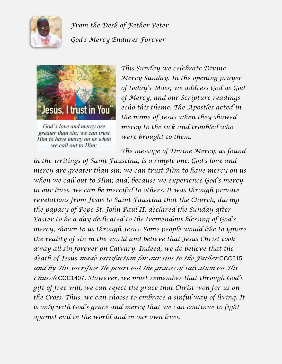

*From the Desk of Father Peter God's Mercy Endures Forever*



God's love and mercy are greater than sin; we can trust Him to have mercy on us when we call out to Him;

*This Sunday we celebrate Divine Mercy Sunday. In the opening prayer of today's Mass, we address God as God of Mercy, and our Scripture readings echo this theme. The Apostles acted in the name of Jesus when they showed mercy to the sick and troubled who were brought to them.*

*The message of Divine Mercy, as found* 

*in the writings of Saint Faustina, is a simple one: God's love and mercy are greater than sin; we can trust Him to have mercy on us when we call out to Him; and, because we experience God's mercy in our lives, we can be merciful to others. It was through private revelations from Jesus to Saint Faustina that the Church, during the papacy of Pope St. John Paul II, declared the Sunday after Easter to be a day dedicated to the tremendous blessing of God's mercy, shown to us through Jesus. Some people would like to ignore the reality of sin in the world and believe that Jesus Christ took away all sin forever on Calvary. Indeed, we do believe that the death of Jesus made satisfaction for our sins to the Father* CCC615 *and by His sacrifice He pours out the graces of salvation on His Church* CCC1407*. However, we must remember that through God's gift of free will, we can reject the grace that Christ won for us on the Cross. Thus, we can choose to embrace a sinful way of living. It is only with God's grace and mercy that we can continue to fight against evil in the world and in our own lives.*